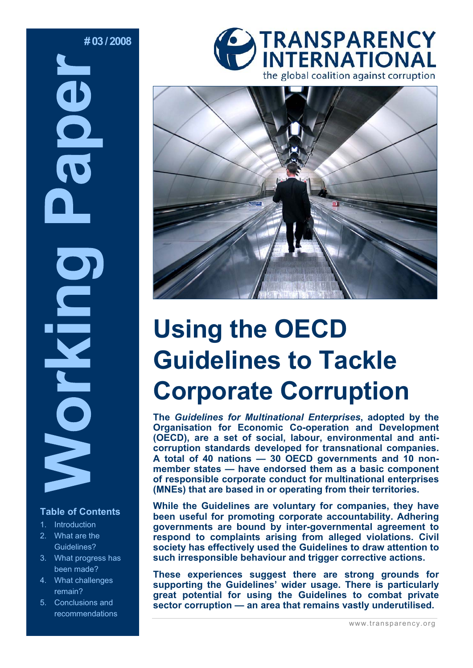# **# 03 / 2008 DOD Durking**

# **Table of Contents**

- 1. Introduction
- 2. What are the Guidelines?
- 3. What progress has been made?
- 4. What challenges remain?
- 5. Conclusions and recommendations





# **Using the OECD Guidelines to Tackle Corporate Corruption**

**The** *Guidelines for Multinational Enterprises***, adopted by the Organisation for Economic Co-operation and Development (OECD), are a set of social, labour, environmental and anticorruption standards developed for transnational companies. A total of 40 nations — 30 OECD governments and 10 nonmember states — have endorsed them as a basic component of responsible corporate conduct for multinational enterprises (MNEs) that are based in or operating from their territories.** 

**While the Guidelines are voluntary for companies, they have been useful for promoting corporate accountability. Adhering governments are bound by inter-governmental agreement to respond to complaints arising from alleged violations. Civil society has effectively used the Guidelines to draw attention to such irresponsible behaviour and trigger corrective actions.** 

**These experiences suggest there are strong grounds for supporting the Guidelines' wider usage. There is particularly great potential for using the Guidelines to combat private sector corruption — an area that remains vastly underutilised.**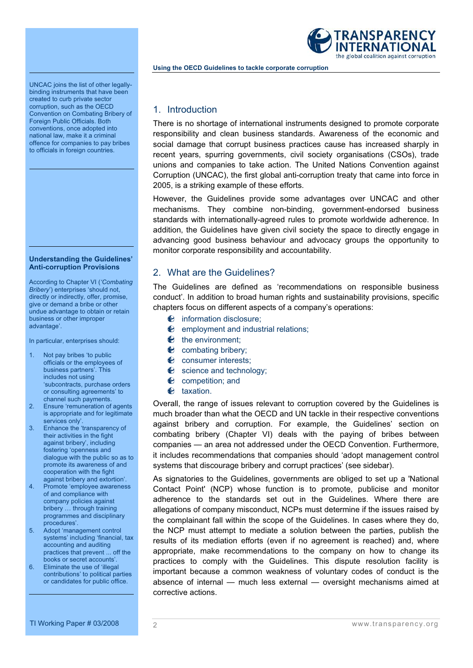

UNCAC joins the list of other legallybinding instruments that have been created to curb private sector corruption, such as the OECD Convention on Combating Bribery of Foreign Public Officials. Both conventions, once adopted into national law, make it a criminal offence for companies to pay bribes to officials in foreign countries.

#### **Understanding the Guidelines' Anti-corruption Provisions**

According to Chapter VI (*'Combating Bribery*') enterprises 'should not, directly or indirectly, offer, promise, give or demand a bribe or other undue advantage to obtain or retain business or other improper advantage'.

In particular, enterprises should:

- 1. Not pay bribes 'to public officials or the employees of business partners'. This includes not using 'subcontracts, purchase orders or consulting agreements' to channel such payments.
- 2. Ensure 'remuneration of agents is appropriate and for legitimate services only'.
- 3. Enhance the 'transparency of their activities in the fight against bribery', including fostering 'openness and dialogue with the public so as to promote its awareness of and cooperation with the fight
- against bribery and extortion'. 4. Promote 'employee awareness of and compliance with company policies against bribery … through training programmes and disciplinary procedures'.
- 5. Adopt 'management control systems' including 'financial, tax accounting and auditing practices that prevent ... off the books or secret accounts'.
- 6. Eliminate the use of 'illegal contributions' to political parties or candidates for public office.

#### **Using the OECD Guidelines to tackle corporate corruption**

# 1. Introduction

There is no shortage of international instruments designed to promote corporate responsibility and clean business standards. Awareness of the economic and social damage that corrupt business practices cause has increased sharply in recent years, spurring governments, civil society organisations (CSOs), trade unions and companies to take action. The United Nations Convention against Corruption (UNCAC), the first global anti-corruption treaty that came into force in 2005, is a striking example of these efforts.

However, the Guidelines provide some advantages over UNCAC and other mechanisms. They combine non-binding, government-endorsed business standards with internationally-agreed rules to promote worldwide adherence. In addition, the Guidelines have given civil society the space to directly engage in advancing good business behaviour and advocacy groups the opportunity to monitor corporate responsibility and accountability.

### 2. What are the Guidelines?

The Guidelines are defined as 'recommendations on responsible business conduct'. In addition to broad human rights and sustainability provisions, specific chapters focus on different aspects of a company's operations:

- $\bullet$  information disclosure:
- $\bullet$  employment and industrial relations:
- $\bullet$  the environment;
- $\bullet$  combating bribery;
- $\bullet$  consumer interests:
- $\bullet$  science and technology;
- $\bullet$  competition; and
- $\bullet$  taxation.

Overall, the range of issues relevant to corruption covered by the Guidelines is much broader than what the OECD and UN tackle in their respective conventions against bribery and corruption. For example, the Guidelines' section on combating bribery (Chapter VI) deals with the paying of bribes between companies — an area not addressed under the OECD Convention. Furthermore, it includes recommendations that companies should 'adopt management control systems that discourage bribery and corrupt practices' (see sidebar).

As signatories to the Guidelines, governments are obliged to set up a 'National Contact Point' (NCP) whose function is to promote, publicise and monitor adherence to the standards set out in the Guidelines. Where there are allegations of company misconduct, NCPs must determine if the issues raised by the complainant fall within the scope of the Guidelines. In cases where they do, the NCP must attempt to mediate a solution between the parties, publish the results of its mediation efforts (even if no agreement is reached) and, where appropriate, make recommendations to the company on how to change its practices to comply with the Guidelines. This dispute resolution facility is important because a common weakness of voluntary codes of conduct is the absence of internal — much less external — oversight mechanisms aimed at corrective actions.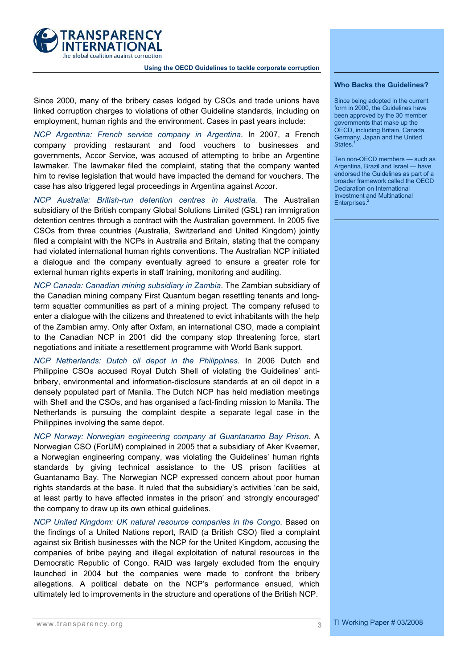

Since 2000, many of the bribery cases lodged by CSOs and trade unions have linked corruption charges to violations of other Guideline standards, including on employment, human rights and the environment. Cases in past years include:

*NCP Argentina: French service company in Argentina*. In 2007, a French company providing restaurant and food vouchers to businesses and governments, Accor Service, was accused of attempting to bribe an Argentine lawmaker. The lawmaker filed the complaint, stating that the company wanted him to revise legislation that would have impacted the demand for vouchers. The case has also triggered legal proceedings in Argentina against Accor.

*NCP Australia: British-run detention centres in Australia.* The Australian subsidiary of the British company Global Solutions Limited (GSL) ran immigration detention centres through a contract with the Australian government. In 2005 five CSOs from three countries (Australia, Switzerland and United Kingdom) jointly filed a complaint with the NCPs in Australia and Britain, stating that the company had violated international human rights conventions. The Australian NCP initiated a dialogue and the company eventually agreed to ensure a greater role for external human rights experts in staff training, monitoring and auditing.

*NCP Canada: Canadian mining subsidiary in Zambia*. The Zambian subsidiary of the Canadian mining company First Quantum began resettling tenants and longterm squatter communities as part of a mining project. The company refused to enter a dialogue with the citizens and threatened to evict inhabitants with the help of the Zambian army. Only after Oxfam, an international CSO, made a complaint to the Canadian NCP in 2001 did the company stop threatening force, start negotiations and initiate a resettlement programme with World Bank support.

*NCP Netherlands: Dutch oil depot in the Philippines*. In 2006 Dutch and Philippine CSOs accused Royal Dutch Shell of violating the Guidelines' antibribery, environmental and information-disclosure standards at an oil depot in a densely populated part of Manila. The Dutch NCP has held mediation meetings with Shell and the CSOs, and has organised a fact-finding mission to Manila. The Netherlands is pursuing the complaint despite a separate legal case in the Philippines involving the same depot.

*NCP Norway: Norwegian engineering company at Guantanamo Bay Prison*. A Norwegian CSO (ForUM) complained in 2005 that a subsidiary of Aker Kvaerner, a Norwegian engineering company, was violating the Guidelines' human rights standards by giving technical assistance to the US prison facilities at Guantanamo Bay. The Norwegian NCP expressed concern about poor human rights standards at the base. It ruled that the subsidiary's activities 'can be said, at least partly to have affected inmates in the prison' and 'strongly encouraged' the company to draw up its own ethical guidelines.

*NCP United Kingdom: UK natural resource companies in the Congo*. Based on the findings of a United Nations report, RAID (a British CSO) filed a complaint against six British businesses with the NCP for the United Kingdom, accusing the companies of bribe paying and illegal exploitation of natural resources in the Democratic Republic of Congo. RAID was largely excluded from the enquiry launched in 2004 but the companies were made to confront the bribery allegations. A political debate on the NCP's performance ensued, which ultimately led to improvements in the structure and operations of the British NCP.

#### **Who Backs the Guidelines?**

Since being adopted in the current form in 2000, the Guidelines have been approved by the 30 member governments that make up the OECD, including Britain, Canada, Germany, Japan and the United **States** 

Ten non-OECD members — such as Argentina, Brazil and Israel — have endorsed the Guidelines as part of a broader framework called the OECD Declaration on International Investment and Multinational Enterprises.<sup>2</sup>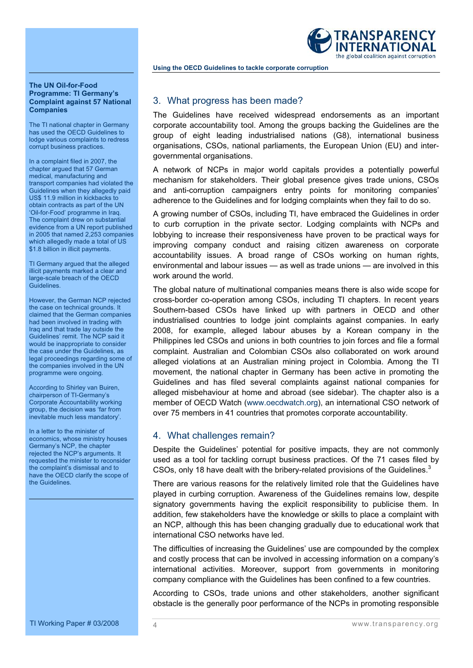

#### **The UN Oil-for-Food Programme: TI Germany's Complaint against 57 National Companies**

The TI national chapter in Germany has used the OECD Guidelines to lodge various complaints to redress corrupt business practices.

In a complaint filed in 2007, the chapter argued that 57 German medical, manufacturing and transport companies had violated the Guidelines when they allegedly paid US\$ 11.9 million in kickbacks to obtain contracts as part of the UN 'Oil-for-Food' programme in Iraq. The complaint drew on substantial evidence from a UN report published in 2005 that named 2,253 companies which allegedly made a total of US \$1.8 billion in illicit payments.

TI Germany argued that the alleged illicit payments marked a clear and large-scale breach of the OECD Guidelines.

However, the German NCP rejected the case on technical grounds. It claimed that the German companies had been involved in trading with Iraq and that trade lay outside the Guidelines' remit. The NCP said it would be inappropriate to consider the case under the Guidelines, as legal proceedings regarding some of the companies involved in the UN programme were ongoing.

According to Shirley van Buiren, chairperson of TI-Germany's Corporate Accountability working group, the decision was 'far from inevitable much less mandatory'.

In a letter to the minister of economics, whose ministry houses Germany's NCP, the chapter rejected the NCP's arguments. It requested the minister to reconsider the complaint's dismissal and to have the OECD clarify the scope of the Guidelines.

# 3. What progress has been made?

The Guidelines have received widespread endorsements as an important corporate accountability tool. Among the groups backing the Guidelines are the group of eight leading industrialised nations (G8), international business organisations, CSOs, national parliaments, the European Union (EU) and intergovernmental organisations.

A network of NCPs in major world capitals provides a potentially powerful mechanism for stakeholders. Their global presence gives trade unions, CSOs and anti-corruption campaigners entry points for monitoring companies' adherence to the Guidelines and for lodging complaints when they fail to do so.

A growing number of CSOs, including TI, have embraced the Guidelines in order to curb corruption in the private sector. Lodging complaints with NCPs and lobbying to increase their responsiveness have proven to be practical ways for improving company conduct and raising citizen awareness on corporate accountability issues. A broad range of CSOs working on human rights, environmental and labour issues — as well as trade unions — are involved in this work around the world.

The global nature of multinational companies means there is also wide scope for cross-border co-operation among CSOs, including TI chapters. In recent years Southern-based CSOs have linked up with partners in OECD and other industrialised countries to lodge joint complaints against companies. In early 2008, for example, alleged labour abuses by a Korean company in the Philippines led CSOs and unions in both countries to join forces and file a formal complaint. Australian and Colombian CSOs also collaborated on work around alleged violations at an Australian mining project in Colombia. Among the TI movement, the national chapter in Germany has been active in promoting the Guidelines and has filed several complaints against national companies for alleged misbehaviour at home and abroad (see sidebar). The chapter also is a member of OECD Watch (www.oecdwatch.org), an international CSO network of over 75 members in 41 countries that promotes corporate accountability.

## 4. What challenges remain?

Despite the Guidelines' potential for positive impacts, they are not commonly used as a tool for tackling corrupt business practices. Of the 71 cases filed by CSOs, only 18 have dealt with the bribery-related provisions of the Guidelines.<sup>3</sup>

There are various reasons for the relatively limited role that the Guidelines have played in curbing corruption. Awareness of the Guidelines remains low, despite signatory governments having the explicit responsibility to publicise them. In addition, few stakeholders have the knowledge or skills to place a complaint with an NCP, although this has been changing gradually due to educational work that international CSO networks have led.

The difficulties of increasing the Guidelines' use are compounded by the complex and costly process that can be involved in accessing information on a company's international activities. Moreover, support from governments in monitoring company compliance with the Guidelines has been confined to a few countries.

According to CSOs, trade unions and other stakeholders, another significant obstacle is the generally poor performance of the NCPs in promoting responsible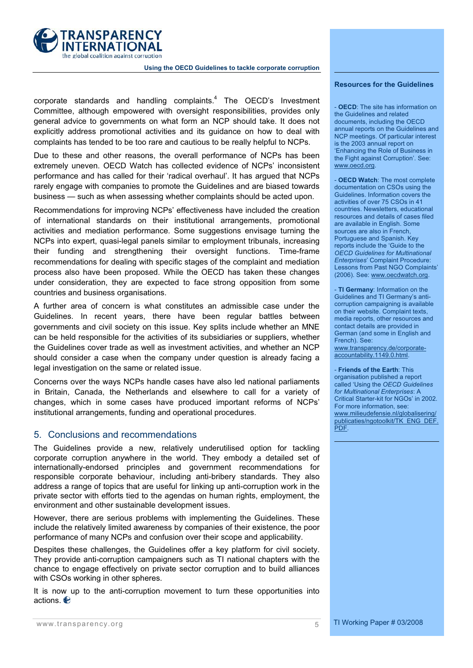

corporate standards and handling complaints. $4$  The OECD's Investment Committee, although empowered with oversight responsibilities, provides only general advice to governments on what form an NCP should take. It does not explicitly address promotional activities and its guidance on how to deal with complaints has tended to be too rare and cautious to be really helpful to NCPs.

Due to these and other reasons, the overall performance of NCPs has been extremely uneven. OECD Watch has collected evidence of NCPs' inconsistent performance and has called for their 'radical overhaul'. It has argued that NCPs rarely engage with companies to promote the Guidelines and are biased towards business — such as when assessing whether complaints should be acted upon.

Recommendations for improving NCPs' effectiveness have included the creation of international standards on their institutional arrangements, promotional activities and mediation performance. Some suggestions envisage turning the NCPs into expert, quasi-legal panels similar to employment tribunals, increasing their funding and strengthening their oversight functions. Time-frame recommendations for dealing with specific stages of the complaint and mediation process also have been proposed. While the OECD has taken these changes under consideration, they are expected to face strong opposition from some countries and business organisations.

A further area of concern is what constitutes an admissible case under the Guidelines. In recent years, there have been regular battles between governments and civil society on this issue. Key splits include whether an MNE can be held responsible for the activities of its subsidiaries or suppliers, whether the Guidelines cover trade as well as investment activities, and whether an NCP should consider a case when the company under question is already facing a legal investigation on the same or related issue.

Concerns over the ways NCPs handle cases have also led national parliaments in Britain, Canada, the Netherlands and elsewhere to call for a variety of changes, which in some cases have produced important reforms of NCPs' institutional arrangements, funding and operational procedures.

# 5. Conclusions and recommendations

The Guidelines provide a new, relatively underutilised option for tackling corporate corruption anywhere in the world. They embody a detailed set of internationally-endorsed principles and government recommendations for responsible corporate behaviour, including anti-bribery standards. They also address a range of topics that are useful for linking up anti-corruption work in the private sector with efforts tied to the agendas on human rights, employment, the environment and other sustainable development issues.

However, there are serious problems with implementing the Guidelines. These include the relatively limited awareness by companies of their existence, the poor performance of many NCPs and confusion over their scope and applicability.

Despites these challenges, the Guidelines offer a key platform for civil society. They provide anti-corruption campaigners such as TI national chapters with the chance to engage effectively on private sector corruption and to build alliances with CSOs working in other spheres.

It is now up to the anti-corruption movement to turn these opportunities into actions. **♦** 

#### **Resources for the Guidelines**

- **OECD**: The site has information on the Guidelines and related documents, including the OECD annual reports on the Guidelines and NCP meetings. Of particular interest is the 2003 annual report on 'Enhancing the Role of Business in the Fight against Corruption'. See: www.oecd.org.

- **OECD Watch**: The most complete documentation on CSOs using the Guidelines. Information covers the activities of over 75 CSOs in 41 countries. Newsletters, educational resources and details of cases filed are available in English. Some sources are also in French, Portuguese and Spanish. Key reports include the 'Guide to the *OECD Guidelines for Multinational Enterprises*' Complaint Procedure: Lessons from Past NGO Complaints' (2006). See: www.oecdwatch.org.

- **TI Germany**: Information on the Guidelines and TI Germany's anticorruption campaigning is available on their website. Complaint texts, media reports, other resources and contact details are provided in German (and some in English and French). See: www.transparency.de/corporate-

accountability.1149.0.html.

- **Friends of the Earth**: This organisation published a report called 'Using the *OECD Guidelines for Multinational Enterprises*: A Critical Starter-kit for NGOs' in 2002. For more information, see: www.milieudefensie.nl/globalisering/ publicaties/ngotoolkit/TK\_ENG\_DEF. PDF.